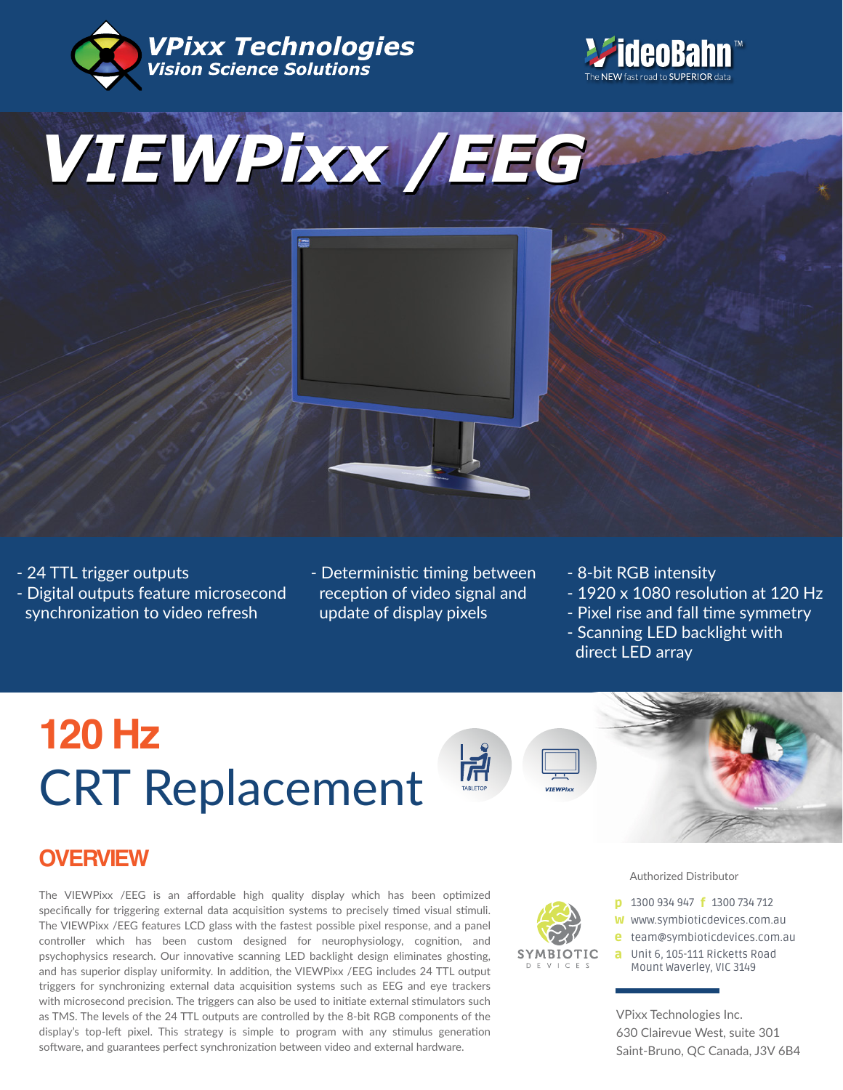







- Deterministic timing between reception of video signal and update of display pixels

- 8-bit RGB intensity
- 1920 x 1080 resolution at 120 Hz
- Pixel rise and fall time symmetry
- Scanning LED backlight with direct LED array

# CRT Replacement **120 Hz**



**SYMBIOTIC**  $D$  F V I C F S



### **OVERVIEW**

The VIEWPixx /EEG is an affordable high quality display which has been optimized specifically for triggering external data acquisition systems to precisely timed visual stimuli. The VIEWPixx /EEG features LCD glass with the fastest possible pixel response, and a panel controller which has been custom designed for neurophysiology, cognition, and psychophysics research. Our innovative scanning LED backlight design eliminates ghosting, and has superior display uniformity. In addition, the VIEWPixx /EEG includes 24 TTL output triggers for synchronizing external data acquisition systems such as EEG and eye trackers with microsecond precision. The triggers can also be used to initiate external stimulators such as TMS. The levels of the 24 TTL outputs are controlled by the 8-bit RGB components of the display's top-left pixel. This strategy is simple to program with any stimulus generation software, and guarantees perfect synchronization between video and external hardware.

#### Authorized Distributor

- **p** 1300 934 947 **f** 1300 734 712
- w www.symbioticdevices.com.au
- [team@symbioticdevices.com.au](https://symbioticdevices.com.au) e
- Unit 6, 105-111 Ricketts Road a Mount Waverley, VIC 3149

VPixx Technologies Inc. 630 Clairevue West, suite 301 Saint-Bruno, QC Canada, J3V 6B4